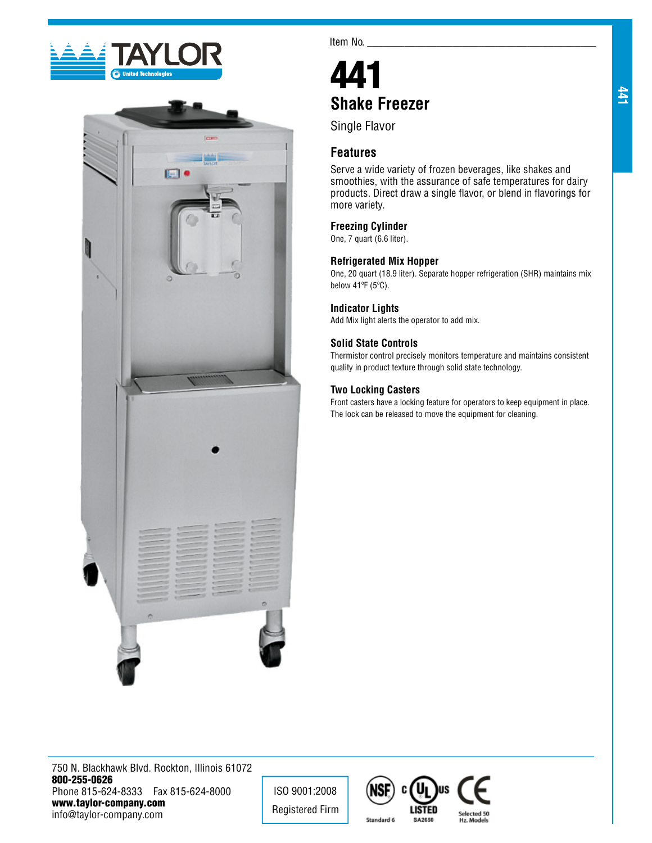



Item No.

# 441 **Shake Freezer**

Single Flavor

## **Features**

Serve a wide variety of frozen beverages, like shakes and smoothies, with the assurance of safe temperatures for dairy products. Direct draw a single flavor, or blend in flavorings for more variety.

## **Freezing Cylinder**

One, 7 quart (6.6 liter).

## **Refrigerated Mix Hopper**

One, 20 quart (18.9 liter). Separate hopper refrigeration (SHR) maintains mix below 41ºF (5ºC).

#### **Indicator Lights**

Add Mix light alerts the operator to add mix.

## **Solid State Controls**

Thermistor control precisely monitors temperature and maintains consistent quality in product texture through solid state technology.

## **Two Locking Casters**

Front casters have a locking feature for operators to keep equipment in place. The lock can be released to move the equipment for cleaning.

750 N. Blackhawk Blvd. Rockton, Illinois 61072 800-255-0626 Phone 815-624-8333 Fax 815-624-8000 www.taylor-company.com info@taylor-company.com

ISO 9001:2008 Registered Firm